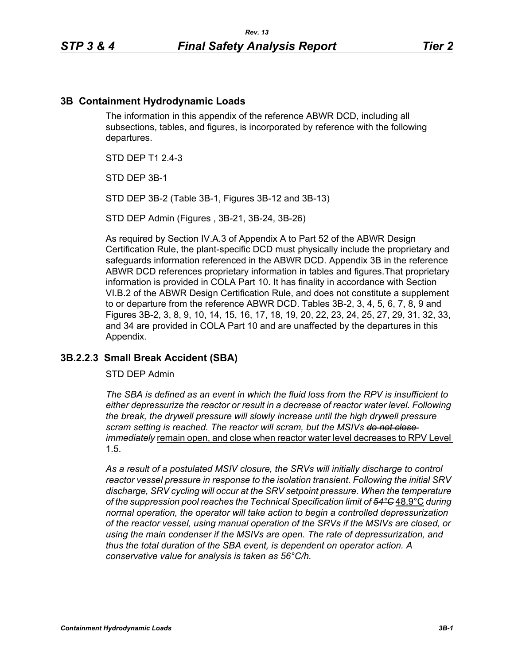#### **3B Containment Hydrodynamic Loads**

The information in this appendix of the reference ABWR DCD, including all subsections, tables, and figures, is incorporated by reference with the following departures.

STD DFP T1 2 4-3

STD DEP 3B-1

STD DEP 3B-2 (Table 3B-1, Figures 3B-12 and 3B-13)

STD DEP Admin (Figures , 3B-21, 3B-24, 3B-26)

As required by Section IV.A.3 of Appendix A to Part 52 of the ABWR Design Certification Rule, the plant-specific DCD must physically include the proprietary and safeguards information referenced in the ABWR DCD. Appendix 3B in the reference ABWR DCD references proprietary information in tables and figures.That proprietary information is provided in COLA Part 10. It has finality in accordance with Section VI.B.2 of the ABWR Design Certification Rule, and does not constitute a supplement to or departure from the reference ABWR DCD. Tables 3B-2, 3, 4, 5, 6, 7, 8, 9 and Figures 3B-2, 3, 8, 9, 10, 14, 15, 16, 17, 18, 19, 20, 22, 23, 24, 25, 27, 29, 31, 32, 33, and 34 are provided in COLA Part 10 and are unaffected by the departures in this Appendix.

#### **3B.2.2.3 Small Break Accident (SBA)**

STD DEP Admin

*The SBA is defined as an event in which the fluid loss from the RPV is insufficient to either depressurize the reactor or result in a decrease of reactor water level. Following the break, the drywell pressure will slowly increase until the high drywell pressure scram setting is reached. The reactor will scram, but the MSIVs do not close immediately* remain open, and close when reactor water level decreases to RPV Level 1.5.

*As a result of a postulated MSIV closure, the SRVs will initially discharge to control reactor vessel pressure in response to the isolation transient. Following the initial SRV discharge, SRV cycling will occur at the SRV setpoint pressure. When the temperature of the suppression pool reaches the Technical Specification limit of 54°C* 48.9°C *during normal operation, the operator will take action to begin a controlled depressurization of the reactor vessel, using manual operation of the SRVs if the MSIVs are closed, or using the main condenser if the MSIVs are open. The rate of depressurization, and thus the total duration of the SBA event, is dependent on operator action. A conservative value for analysis is taken as 56°C/h.*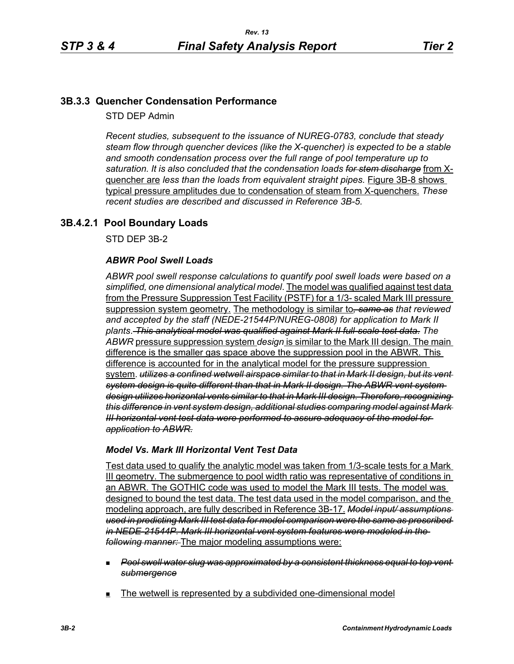# **3B.3.3 Quencher Condensation Performance**

STD DEP Admin

*Recent studies, subsequent to the issuance of NUREG-0783, conclude that steady steam flow through quencher devices (like the X-quencher) is expected to be a stable and smooth condensation process over the full range of pool temperature up to saturation. It is also concluded that the condensation loads for stem discharge* from Xquencher are *less than the loads from equivalent straight pipes.* Figure 3B-8 shows typical pressure amplitudes due to condensation of steam from X-quenchers. *These recent studies are described and discussed in Reference 3B-5.*

# **3B.4.2.1 Pool Boundary Loads**

STD DEP 3B-2

## *ABWR Pool Swell Loads*

*ABWR pool swell response calculations to quantify pool swell loads were based on a simplified, one dimensional analytical model*. The model was qualified against test data from the Pressure Suppression Test Facility (PSTF) for a 1/3- scaled Mark III pressure suppression system geometry. The methodology is similar to*, same as that reviewed and accepted by the staff (NEDE-21544P/NUREG-0808) for application to Mark II plants*. *This analytical model was qualified against Mark II full-scale test data*. *The ABWR* pressure suppression system *design* is similar to the Mark III design. The main difference is the smaller gas space above the suppression pool in the ABWR. This difference is accounted for in the analytical model for the pressure suppression system. *utilizes a confined wetwell airspace similar to that in Mark II design, but its vent system design is quite different than that in Mark II design. The ABWR vent system design utilizes horizontal vents similar to that in Mark III design. Therefore, recognizing this difference in vent system design, additional studies comparing model against Mark III horizontal vent test data were performed to assure adequacy of the model for application to ABWR.*

## *Model Vs. Mark III Horizontal Vent Test Data*

Test data used to qualify the analytic model was taken from 1/3-scale tests for a Mark III geometry. The submergence to pool width ratio was representative of conditions in an ABWR. The GOTHIC code was used to model the Mark III tests. The model was designed to bound the test data. The test data used in the model comparison, and the modeling approach, are fully described in Reference 3B-17. *Model input/ assumptions used in predicting Mark III test data for model comparison were the same as prescribed in NEDE-21544P. Mark III horizontal vent system features were modeled in the following manner:* The major modeling assumptions were:

- *Pool swell water slug was approximated by a consistent thickness equal to top vent submergence*
- The wetwell is represented by a subdivided one-dimensional model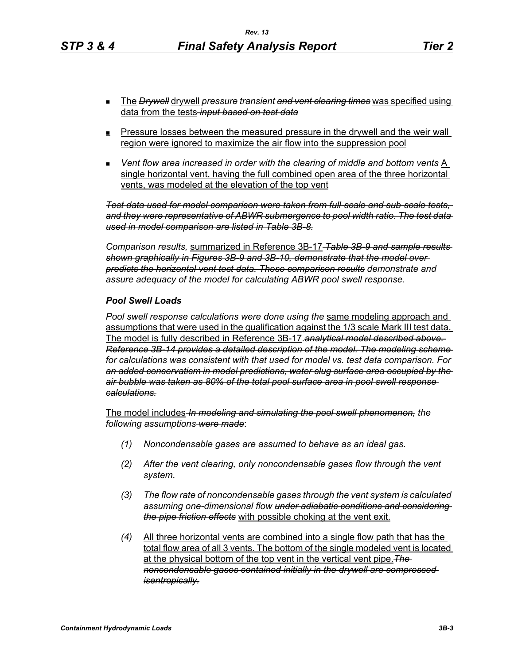- The *Drywell* drywell *pressure transient and vent clearing times* was specified using data from the tests *input based on test data*
- **Pressure losses between the measured pressure in the drywell and the weir wall** region were ignored to maximize the air flow into the suppression pool
- *Vent flow area increased in order with the clearing of middle and bottom vents* A single horizontal vent, having the full combined open area of the three horizontal vents, was modeled at the elevation of the top vent

*Test data used for model comparison were taken from full-scale and sub-scale tests, and they were representative of ABWR submergence to pool width ratio. The test data used in model comparison are listed in Table 3B-8.*

*Comparison results,* summarized in Reference 3B-17 *Table 3B-9 and sample results shown graphically in Figures 3B-9 and 3B-10, demonstrate that the model over predicts the horizontal vent test data. These comparison results demonstrate and assure adequacy of the model for calculating ABWR pool swell response.*

#### *Pool Swell Loads*

*Pool swell response calculations were done using the* same modeling approach and assumptions that were used in the qualification against the 1/3 scale Mark III test data. The model is fully described in Reference 3B-17.*analytical model described above. Reference 3B-14 provides a detailed description of the model. The modeling scheme for calculations was consistent with that used for model vs. test data comparison. For an added conservatism in model predictions, water slug surface area occupied by the air bubble was taken as 80% of the total pool surface area in pool swell response calculations.*

The model includes *In modeling and simulating the pool swell phenomenon, the following assumptions were made*:

- *(1) Noncondensable gases are assumed to behave as an ideal gas.*
- *(2) After the vent clearing, only noncondensable gases flow through the vent system.*
- *(3) The flow rate of noncondensable gases through the vent system is calculated assuming one-dimensional flow under adiabatic conditions and considering the pipe friction effects* with possible choking at the vent exit.
- *(4)* All three horizontal vents are combined into a single flow path that has the total flow area of all 3 vents. The bottom of the single modeled vent is located at the physical bottom of the top vent in the vertical vent pipe.*The noncondensable gases contained initially in the drywell are compressed isentropically.*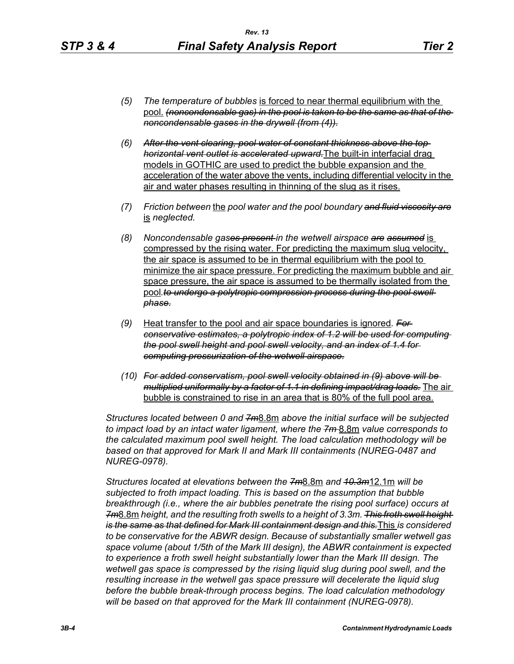- *(5) The temperature of bubbles* is forced to near thermal equilibrium with the pool. *(noncondensable gas) in the pool is taken to be the same as that of the noncondensable gases in the drywell (from (4)).*
- *(6) After the vent clearing, pool water of constant thickness above the top horizontal vent outlet is accelerated upward.*The built-in interfacial drag models in GOTHIC are used to predict the bubble expansion and the acceleration of the water above the vents, including differential velocity in the air and water phases resulting in thinning of the slug as it rises.
- *(7) Friction between* the *pool water and the pool boundary and fluid viscosity are* is *neglected.*
- *(8) Noncondensable gases present in the wetwell airspace are assumed* is compressed by the rising water. For predicting the maximum slug velocity, the air space is assumed to be in thermal equilibrium with the pool to minimize the air space pressure. For predicting the maximum bubble and air space pressure, the air space is assumed to be thermally isolated from the pool to undergo a polytropic compression process during the pool swell *phase.*
- *(9)* Heat transfer to the pool and air space boundaries is ignored*. For conservative estimates, a polytropic index of 1.2 will be used for computing the pool swell height and pool swell velocity, and an index of 1.4 for computing pressurization of the wetwell airspace.*
- *(10) For added conservatism, pool swell velocity obtained in (9) above will be multiplied uniformally by a factor of 1.1 in defining impact/drag loads.* The air bubble is constrained to rise in an area that is 80% of the full pool area.

*Structures located between 0 and 7m*8.8m *above the initial surface will be subjected to impact load by an intact water ligament, where the 7m* 8.8m *value corresponds to the calculated maximum pool swell height. The load calculation methodology will be*  based on that approved for Mark II and Mark III containments (NUREG-0487 and *NUREG-0978).*

*Structures located at elevations between the 7m*8.8m *and 10.3m*12.1m *will be subjected to froth impact loading. This is based on the assumption that bubble breakthrough (i.e., where the air bubbles penetrate the rising pool surface) occurs at 7m*8.8m *height, and the resulting froth swells to a height of 3.3m. This froth swell height is the same as that defined for Mark III containment design and this.*This *is considered to be conservative for the ABWR design. Because of substantially smaller wetwell gas space volume (about 1/5th of the Mark III design), the ABWR containment is expected to experience a froth swell height substantially lower than the Mark III design. The wetwell gas space is compressed by the rising liquid slug during pool swell, and the resulting increase in the wetwell gas space pressure will decelerate the liquid slug before the bubble break-through process begins. The load calculation methodology will be based on that approved for the Mark III containment (NUREG-0978).*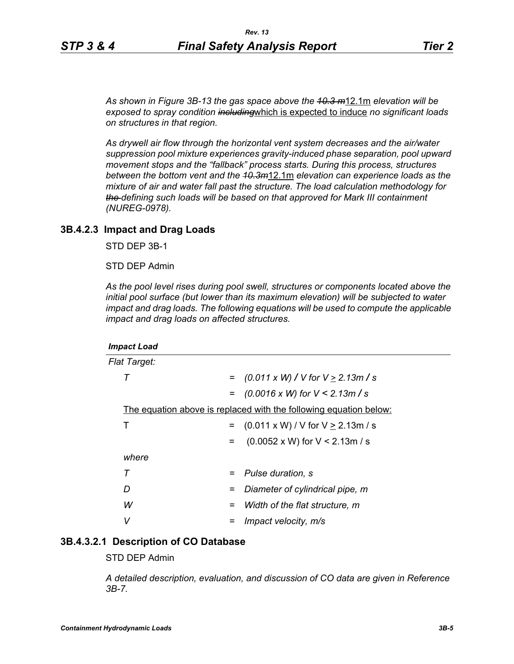*As shown in Figure 3B-13 the gas space above the 10.3 m*12.1m *elevation will be exposed to spray condition including*which is expected to induce *no significant loads on structures in that region.* 

*As drywell air flow through the horizontal vent system decreases and the air/water suppression pool mixture experiences gravity-induced phase separation, pool upward movement stops and the "fallback" process starts. During this process, structures between the bottom vent and the 10.3m*12.1m *elevation can experience loads as the mixture of air and water fall past the structure. The load calculation methodology for the defining such loads will be based on that approved for Mark III containment (NUREG-0978).*

#### **3B.4.2.3 Impact and Drag Loads**

STD DEP 3B-1

STD DEP Admin

*As the pool level rises during pool swell, structures or components located above the initial pool surface (but lower than its maximum elevation) will be subjected to water impact and drag loads. The following equations will be used to compute the applicable impact and drag loads on affected structures.*

| <b>Impact Load</b>                                                       |     |                                               |
|--------------------------------------------------------------------------|-----|-----------------------------------------------|
| <b>Flat Target:</b>                                                      |     |                                               |
| Т                                                                        | $=$ | $(0.011 \times W)$ / V for V $\geq$ 2.13m / s |
|                                                                          | $=$ | $(0.0016 \times W)$ for $V \le 2.13 m/s$      |
| <u>The equation above is replaced with the following equation below:</u> |     |                                               |
| Т                                                                        |     | $(0.011 \times W) / V$ for $V \ge 2.13$ m / s |
|                                                                          | $=$ | $(0.0052 \times W)$ for V < 2.13m / s         |
| where                                                                    |     |                                               |
| т                                                                        | =   | Pulse duration, s                             |
| D                                                                        | =   | Diameter of cylindrical pipe, m               |
| W                                                                        | =   | Width of the flat structure, m                |
| v                                                                        |     | Impact velocity, m/s                          |

## **3B.4.3.2.1 Description of CO Database**

STD DEP Admin

*A detailed description, evaluation, and discussion of CO data are given in Reference 3B-7.*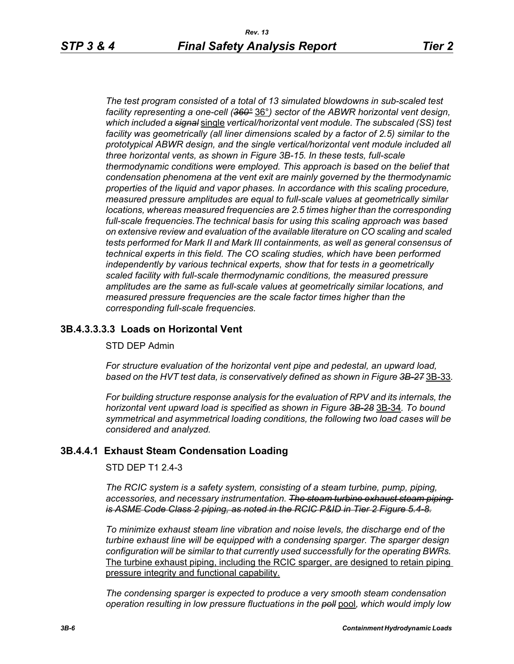*The test program consisted of a total of 13 simulated blowdowns in sub-scaled test facility representing a one-cell (360°* 36°*) sector of the ABWR horizontal vent design, which included a signal* single *vertical/horizontal vent module. The subscaled (SS) test facility was geometrically (all liner dimensions scaled by a factor of 2.5) similar to the prototypical ABWR design, and the single vertical/horizontal vent module included all three horizontal vents, as shown in Figure 3B-15. In these tests, full-scale thermodynamic conditions were employed. This approach is based on the belief that condensation phenomena at the vent exit are mainly governed by the thermodynamic properties of the liquid and vapor phases. In accordance with this scaling procedure, measured pressure amplitudes are equal to full-scale values at geometrically similar locations, whereas measured frequencies are 2.5 times higher than the corresponding full-scale frequencies.The technical basis for using this scaling approach was based on extensive review and evaluation of the available literature on CO scaling and scaled tests performed for Mark II and Mark III containments, as well as general consensus of technical experts in this field. The CO scaling studies, which have been performed independently by various technical experts, show that for tests in a geometrically scaled facility with full-scale thermodynamic conditions, the measured pressure amplitudes are the same as full-scale values at geometrically similar locations, and measured pressure frequencies are the scale factor times higher than the corresponding full-scale frequencies.*

## **3B.4.3.3.3.3 Loads on Horizontal Vent**

#### STD DEP Admin

*For structure evaluation of the horizontal vent pipe and pedestal, an upward load, based on the HVT test data, is conservatively defined as shown in Figure 3B-27* 3B-33*.*

*For building structure response analysis for the evaluation of RPV and its internals, the horizontal vent upward load is specified as shown in Figure 3B-28* 3B-34*. To bound symmetrical and asymmetrical loading conditions, the following two load cases will be considered and analyzed.*

## **3B.4.4.1 Exhaust Steam Condensation Loading**

STD DEP T1 2.4-3

*The RCIC system is a safety system, consisting of a steam turbine, pump, piping, accessories, and necessary instrumentation. The steam turbine exhaust steam piping is ASME Code Class 2 piping, as noted in the RCIC P&ID in Tier 2 Figure 5.4-8.*

*To minimize exhaust steam line vibration and noise levels, the discharge end of the turbine exhaust line will be equipped with a condensing sparger. The sparger design configuration will be similar to that currently used successfully for the operating BWRs.* The turbine exhaust piping, including the RCIC sparger, are designed to retain piping pressure integrity and functional capability.

*The condensing sparger is expected to produce a very smooth steam condensation operation resulting in low pressure fluctuations in the poll* pool*, which would imply low*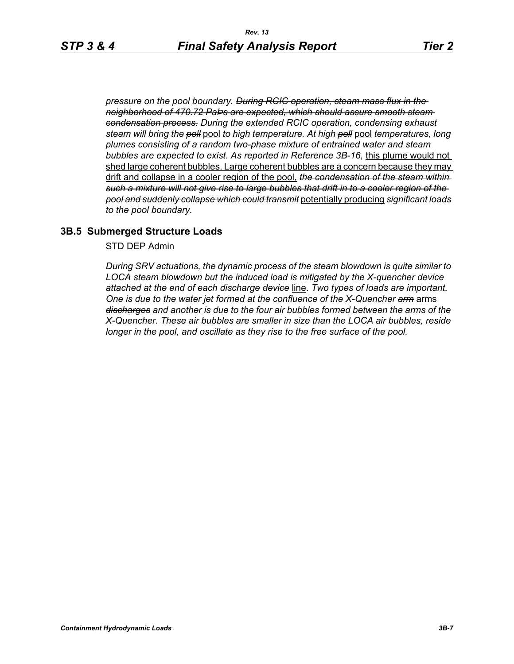*pressure on the pool boundary. During RCIC operation, steam mass flux in the neighborhood of 470.72 PaÞs are expected, which should assure smooth steam condensation process. During the extended RCIC operation, condensing exhaust steam will bring the poll* pool *to high temperature. At high poll* pool *temperatures, long plumes consisting of a random two-phase mixture of entrained water and steam bubbles are expected to exist. As reported in Reference 3B-16*, this plume would not shed large coherent bubbles. Large coherent bubbles are a concern because they may drift and collapse in a cooler region of the pool, *the condensation of the steam within such a mixture will not give rise to large bubbles that drift in to a cooler region of the pool and suddenly collapse which could transmit* potentially producing *significant loads to the pool boundary.*

# **3B.5 Submerged Structure Loads**

STD DEP Admin

*During SRV actuations, the dynamic process of the steam blowdown is quite similar to LOCA steam blowdown but the induced load is mitigated by the X-quencher device attached at the end of each discharge device* line. *Two types of loads are important. One is due to the water jet formed at the confluence of the X-Quencher arm* arms *discharges and another is due to the four air bubbles formed between the arms of the X-Quencher. These air bubbles are smaller in size than the LOCA air bubbles, reside longer in the pool, and oscillate as they rise to the free surface of the pool.*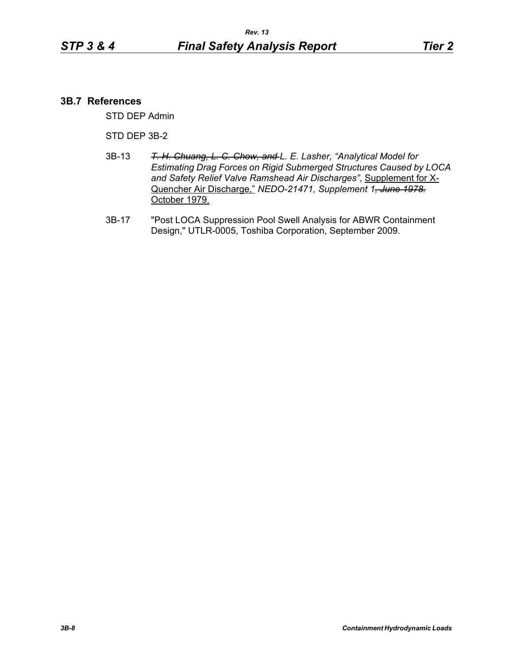## **3B.7 References**

STD DEP Admin

#### STD DEP 3B-2

- 3B-13 *T. H. Chuang, L. C. Chow, and L. E. Lasher, "Analytical Model for Estimating Drag Forces on Rigid Submerged Structures Caused by LOCA and Safety Relief Valve Ramshead Air Discharges"*, Supplement for X-Quencher Air Discharge," *NEDO-21471, Supplement 1, June 1978.* October 1979.
- 3B-17 "Post LOCA Suppression Pool Swell Analysis for ABWR Containment Design," UTLR-0005, Toshiba Corporation, September 2009.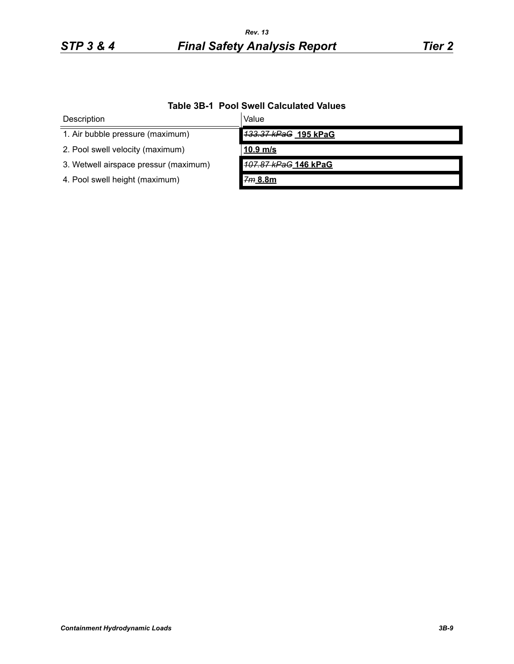# *STP 3 & 4 Final Safety Analysis Report Tier 2 Rev. 13*

| TADIG JD-T T UVI UWGII VAIGUIALGU VAIUGJ |                      |  |  |
|------------------------------------------|----------------------|--|--|
| Description                              | Value                |  |  |
| 1. Air bubble pressure (maximum)         | 133.37 kPaG 195 kPaG |  |  |
| 2. Pool swell velocity (maximum)         | $10.9$ m/s           |  |  |
| 3. Wetwell airspace pressur (maximum)    | 107.87 kPaG 146 kPaG |  |  |
| 4. Pool swell height (maximum)           | 7m 8.8m              |  |  |

# **Table 3B-1 Pool Swell Calculated Values**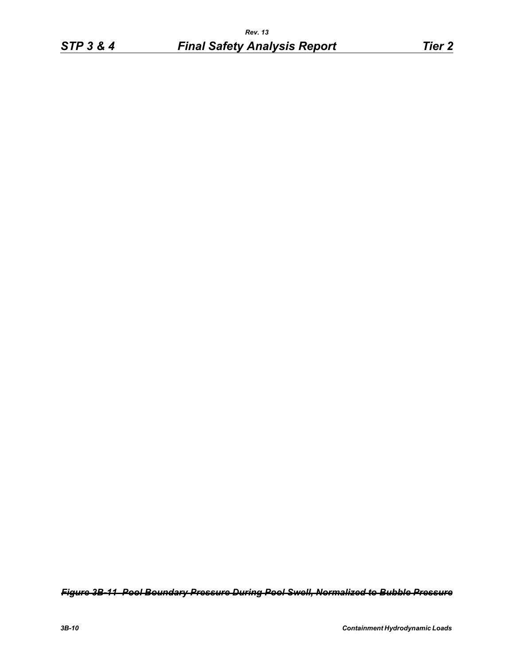*Figure 3B-11 Pool Boundary Pressure During Pool Swell, Normalized to Bubble Pressure*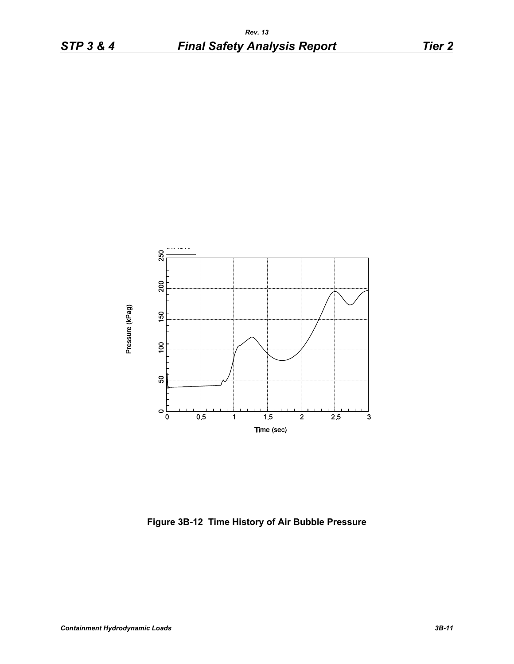

**Figure 3B-12 Time History of Air Bubble Pressure**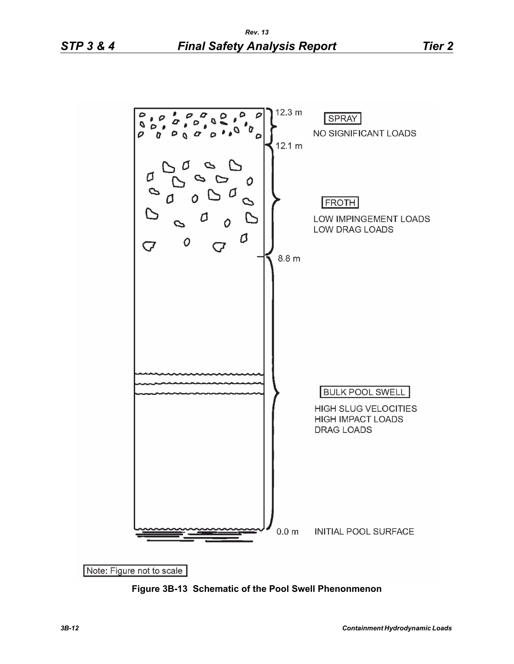

**Figure 3B-13 Schematic of the Pool Swell Phenonmenon**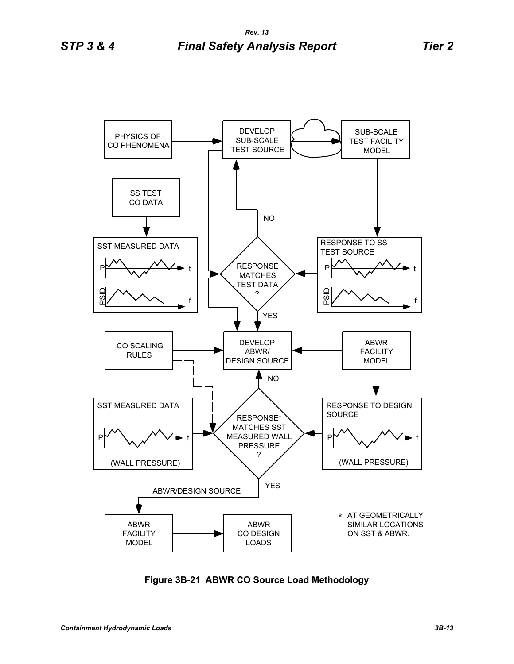

**Figure 3B-21 ABWR CO Source Load Methodology**